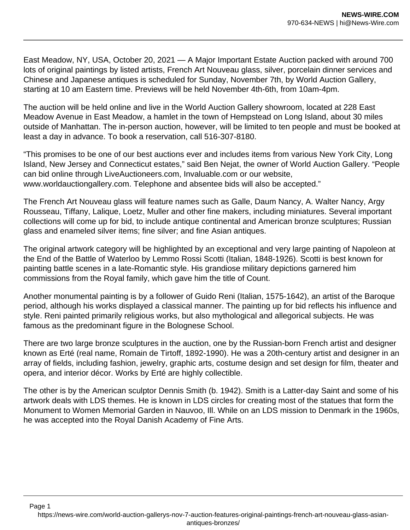East Meadow, NY, USA, October 20, 2021 — A Major Important Estate Auction packed with around 700 lots of original paintings by listed artists, French Art Nouveau glass, silver, porcelain dinner services and Chinese and Japanese antiques is scheduled for Sunday, November 7th, by World Auction Gallery, starting at 10 am Eastern time. Previews will be held November 4th-6th, from 10am-4pm.

The auction will be held online and live in the World Auction Gallery showroom, located at 228 East Meadow Avenue in East Meadow, a hamlet in the town of Hempstead on Long Island, about 30 miles outside of Manhattan. The in-person auction, however, will be limited to ten people and must be booked at least a day in advance. To book a reservation, call 516-307-8180.

"This promises to be one of our best auctions ever and includes items from various New York City, Long Island, New Jersey and Connecticut estates," said Ben Nejat, the owner of World Auction Gallery. "People can bid online through LiveAuctioneers.com, Invaluable.com or our website, www.worldauctiongallery.com. Telephone and absentee bids will also be accepted."

The French Art Nouveau glass will feature names such as Galle, Daum Nancy, A. Walter Nancy, Argy Rousseau, Tiffany, Lalique, Loetz, Muller and other fine makers, including miniatures. Several important collections will come up for bid, to include antique continental and American bronze sculptures; Russian glass and enameled silver items; fine silver; and fine Asian antiques.

The original artwork category will be highlighted by an exceptional and very large painting of Napoleon at the End of the Battle of Waterloo by Lemmo Rossi Scotti (Italian, 1848-1926). Scotti is best known for painting battle scenes in a late-Romantic style. His grandiose military depictions garnered him commissions from the Royal family, which gave him the title of Count.

Another monumental painting is by a follower of Guido Reni (Italian, 1575-1642), an artist of the Baroque period, although his works displayed a classical manner. The painting up for bid reflects his influence and style. Reni painted primarily religious works, but also mythological and allegorical subjects. He was famous as the predominant figure in the Bolognese School.

There are two large bronze sculptures in the auction, one by the Russian-born French artist and designer known as Erté (real name, Romain de Tirtoff, 1892-1990). He was a 20th-century artist and designer in an array of fields, including fashion, jewelry, graphic arts, costume design and set design for film, theater and opera, and interior décor. Works by Erté are highly collectible.

The other is by the American sculptor Dennis Smith (b. 1942). Smith is a Latter-day Saint and some of his artwork deals with LDS themes. He is known in LDS circles for creating most of the statues that form the Monument to Women Memorial Garden in Nauvoo, Ill. While on an LDS mission to Denmark in the 1960s, he was accepted into the Royal Danish Academy of Fine Arts.